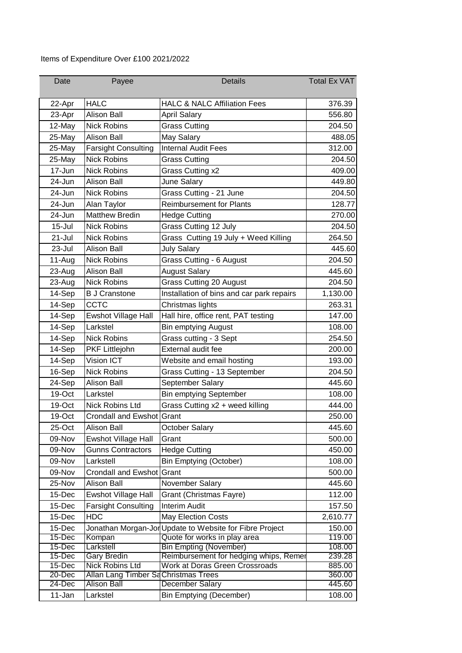## Items of Expenditure Over £100 2021/2022

| Date             | Payee                                                  | <b>Details</b>                                          | <b>Total Ex VAT</b> |
|------------------|--------------------------------------------------------|---------------------------------------------------------|---------------------|
| 22-Apr           | <b>HALC</b>                                            | <b>HALC &amp; NALC Affiliation Fees</b>                 | 376.39              |
| 23-Apr           | <b>Alison Ball</b>                                     | <b>April Salary</b>                                     | 556.80              |
| 12-May           | <b>Nick Robins</b>                                     | <b>Grass Cutting</b>                                    | 204.50              |
| 25-May           | <b>Alison Ball</b>                                     | May Salary                                              | 488.05              |
| 25-May           | <b>Farsight Consulting</b>                             | <b>Internal Audit Fees</b>                              | 312.00              |
| 25-May           | <b>Nick Robins</b>                                     | <b>Grass Cutting</b>                                    | 204.50              |
| 17-Jun           | <b>Nick Robins</b>                                     | Grass Cutting x2                                        | 409.00              |
| 24-Jun           | <b>Alison Ball</b>                                     | June Salary                                             | 449.80              |
| 24-Jun           | <b>Nick Robins</b>                                     | Grass Cutting - 21 June                                 | 204.50              |
| 24-Jun           | Alan Taylor                                            | <b>Reimbursement for Plants</b>                         | 128.77              |
| 24-Jun           | <b>Matthew Bredin</b>                                  | <b>Hedge Cutting</b>                                    | 270.00              |
| $15 -$ Jul       | <b>Nick Robins</b>                                     | Grass Cutting 12 July                                   | 204.50              |
| 21-Jul           | <b>Nick Robins</b>                                     | Grass Cutting 19 July + Weed Killing                    | 264.50              |
| 23-Jul           | <b>Alison Ball</b>                                     | <b>July Salary</b>                                      | 445.60              |
| 11-Aug           | <b>Nick Robins</b>                                     | Grass Cutting - 6 August                                | 204.50              |
| 23-Aug           | <b>Alison Ball</b>                                     | <b>August Salary</b>                                    | 445.60              |
| 23-Aug           | <b>Nick Robins</b>                                     | <b>Grass Cutting 20 August</b>                          | 204.50              |
| 14-Sep           | <b>B J Cranstone</b>                                   | Installation of bins and car park repairs               | 1,130.00            |
| 14-Sep           | CCTC                                                   | Christmas lights                                        | 263.31              |
| 14-Sep           | Ewshot Village Hall                                    | Hall hire, office rent, PAT testing                     | 147.00              |
| 14-Sep           | Larkstel                                               | <b>Bin emptying August</b>                              | 108.00              |
| 14-Sep           | <b>Nick Robins</b>                                     | Grass cutting - 3 Sept                                  | 254.50              |
| 14-Sep           | PKF Littlejohn                                         | External audit fee                                      | 200.00              |
| 14-Sep           | Vision ICT                                             | Website and email hosting                               | 193.00              |
| 16-Sep           | <b>Nick Robins</b>                                     | Grass Cutting - 13 September                            | 204.50              |
| 24-Sep           | <b>Alison Ball</b>                                     | September Salary                                        | 445.60              |
| 19-Oct           | Larkstel                                               | <b>Bin emptying September</b>                           | 108.00              |
| 19-Oct           | <b>Nick Robins Ltd</b>                                 | Grass Cutting x2 + weed killing                         | 444.00              |
| 19-Oct           | Crondall and Ewshot Grant                              |                                                         | 250.00              |
| 25-Oct           | <b>Alison Ball</b>                                     | October Salary                                          | 445.60              |
| 09-Nov           | <b>Ewshot Village Hall</b>                             | Grant                                                   | 500.00              |
| 09-Nov           | <b>Gunns Contractors</b>                               | <b>Hedge Cutting</b>                                    | 450.00              |
| 09-Nov           | Larkstell                                              | <b>Bin Emptying (October)</b>                           | 108.00              |
| 09-Nov           | Crondall and Ewshot Grant                              |                                                         | 500.00              |
| 25-Nov           | <b>Alison Ball</b>                                     | November Salary                                         | 445.60              |
| 15-Dec           | Ewshot Village Hall                                    | Grant (Christmas Fayre)                                 | 112.00              |
| 15-Dec           | <b>Farsight Consulting</b>                             | <b>Interim Audit</b>                                    | 157.50              |
| 15-Dec           | <b>HDC</b>                                             | <b>May Election Costs</b>                               | 2,610.77            |
| 15-Dec           |                                                        | Jonathan Morgan-Jor Update to Website for Fibre Project | 150.00              |
| 15-Dec           | Kompan                                                 | Quote for works in play area                            | 119.00              |
| 15-Dec           | Larkstell                                              | <b>Bin Empting (November)</b>                           | 108.00              |
| 15-Dec           | <b>Gary Bredin</b>                                     | Reimbursement for hedging whips, Remer                  | 239.28              |
| 15-Dec<br>20-Dec | Nick Robins Ltd<br>Allan Lang Timber SaChristmas Trees | Work at Doras Green Crossroads                          | 885.00<br>360.00    |
| 24-Dec           | <b>Alison Ball</b>                                     | December Salary                                         | 445.60              |
| 11-Jan           | Larkstel                                               | <b>Bin Emptying (December)</b>                          | 108.00              |